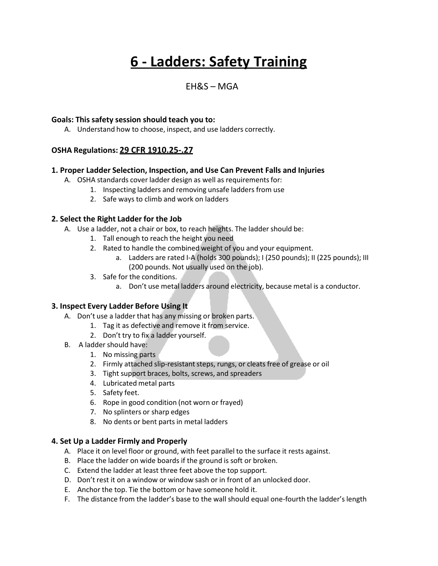# **6 - Ladders: Safety Training**

# $FHRS - MGA$

#### **Goals: This safety session should teach you to:**

A. Understand how to choose, inspect, and use ladders correctly.

# **OSHA Regulations: 29 CFR 1910.25-.27**

#### **1. Proper Ladder Selection, Inspection, and Use Can Prevent Falls and Injuries**

- A. OSHA standards cover ladder design as well as requirements for:
	- 1. Inspecting ladders and removing unsafe ladders from use
	- 2. Safe ways to climb and work on ladders

#### **2. Select the Right Ladder for the Job**

- A. Use a ladder, not a chair or box, to reach heights. The ladder should be:
	- 1. Tall enough to reach the height you need
	- 2. Rated to handle the combined weight of you and your equipment.
		- a. Ladders are rated I-A (holds 300 pounds); I (250 pounds); II (225 pounds); III (200 pounds. Not usually used on the job).
	- 3. Safe for the conditions.
		- a. Don't use metal ladders around electricity, because metal is a conductor.

#### **3. Inspect Every Ladder Before Using It**

- A. Don't use a ladder that has any missing or broken parts.
	- 1. Tag it as defective and remove it from service.
	- 2. Don't try to fix a ladder yourself.
- B. A ladder should have:
	- 1. No missing parts
	- 2. Firmly attached slip-resistant steps, rungs, or cleats free of grease or oil
	- 3. Tight support braces, bolts, screws, and spreaders
	- 4. Lubricated metal parts
	- 5. Safety feet.
	- 6. Rope in good condition (not worn or frayed)
	- 7. No splinters or sharp edges
	- 8. No dents or bent parts in metal ladders

# **4. Set Up a Ladder Firmly and Properly**

- A. Place it on level floor or ground, with feet parallel to the surface it rests against.
- B. Place the ladder on wide boards if the ground is soft or broken.
- C. Extend the ladder at least three feet above the top support.
- D. Don't rest it on a window or window sash or in front of an unlocked door.
- E. Anchor the top. Tie the bottom or have someone hold it.
- F. The distance from the ladder's base to the wall should equal one-fourth the ladder's length